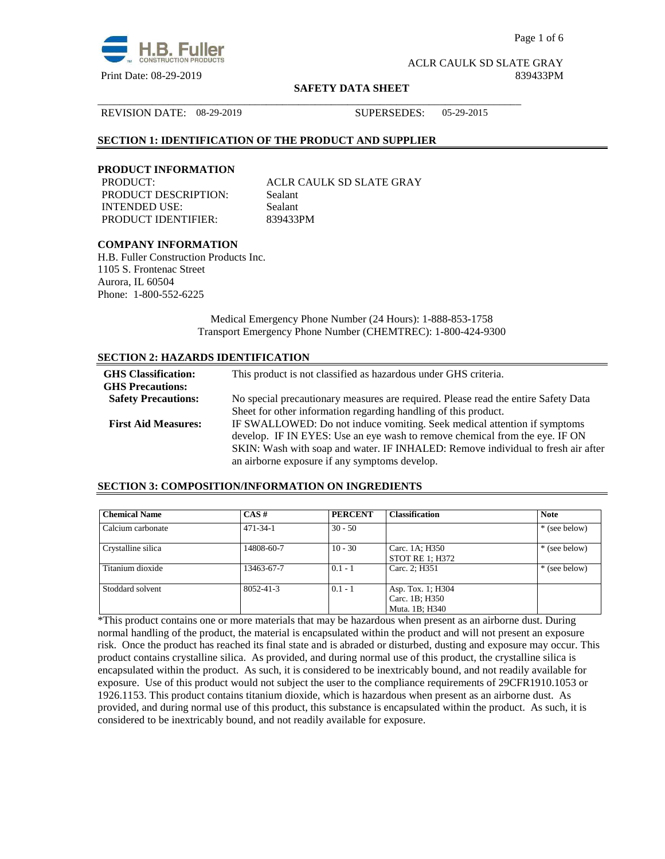

Page 1 of 6

ACLR CAULK SD SLATE GRAY Print Date: 08-29-2019 839433PM

#### **SAFETY DATA SHEET**

\_\_\_\_\_\_\_\_\_\_\_\_\_\_\_\_\_\_\_\_\_\_\_\_\_\_\_\_\_\_\_\_\_\_\_\_\_\_\_\_\_\_\_\_\_\_\_\_\_\_\_\_\_\_\_\_\_\_\_\_\_\_\_\_\_\_\_\_\_\_\_\_\_\_\_\_\_\_

REVISION DATE: 08-29-2019 SUPERSEDES: 05-29-2015

## **SECTION 1: IDENTIFICATION OF THE PRODUCT AND SUPPLIER**

## **PRODUCT INFORMATION**

PRODUCT DESCRIPTION: Sealant INTENDED USE: Sealant PRODUCT IDENTIFIER: 839433PM

PRODUCT: ACLR CAULK SD SLATE GRAY

## **COMPANY INFORMATION**

H.B. Fuller Construction Products Inc. 1105 S. Frontenac Street Aurora, IL 60504 Phone: 1-800-552-6225

> Medical Emergency Phone Number (24 Hours): 1-888-853-1758 Transport Emergency Phone Number (CHEMTREC): 1-800-424-9300

# **SECTION 2: HAZARDS IDENTIFICATION**

| <b>GHS</b> Classification:<br><b>GHS Precautions:</b> | This product is not classified as hazardous under GHS criteria.                                                                                                                                                                                                                              |
|-------------------------------------------------------|----------------------------------------------------------------------------------------------------------------------------------------------------------------------------------------------------------------------------------------------------------------------------------------------|
| <b>Safety Precautions:</b>                            | No special precautionary measures are required. Please read the entire Safety Data                                                                                                                                                                                                           |
|                                                       | Sheet for other information regarding handling of this product.                                                                                                                                                                                                                              |
| <b>First Aid Measures:</b>                            | IF SWALLOWED: Do not induce vomiting. Seek medical attention if symptoms<br>develop. IF IN EYES: Use an eye wash to remove chemical from the eye. IF ON<br>SKIN: Wash with soap and water. IF INHALED: Remove individual to fresh air after<br>an airborne exposure if any symptoms develop. |

## **SECTION 3: COMPOSITION/INFORMATION ON INGREDIENTS**

| <b>Chemical Name</b> | $CAS \#$       | <b>PERCENT</b> | <b>Classification</b>                                 | <b>Note</b>   |
|----------------------|----------------|----------------|-------------------------------------------------------|---------------|
| Calcium carbonate    | $471 - 34 - 1$ | $30 - 50$      |                                                       | * (see below) |
| Crystalline silica   | 14808-60-7     | $10 - 30$      | Carc. 1A; H350<br>STOT RE 1; H372                     | * (see below) |
| Titanium dioxide     | 13463-67-7     | $0.1 - 1$      | Carc. 2; H351                                         | * (see below) |
| Stoddard solvent     | 8052-41-3      | $0.1 - 1$      | Asp. Tox. 1; H304<br>Carc. 1B; H350<br>Muta. 1B; H340 |               |

\*This product contains one or more materials that may be hazardous when present as an airborne dust. During normal handling of the product, the material is encapsulated within the product and will not present an exposure risk. Once the product has reached its final state and is abraded or disturbed, dusting and exposure may occur. This product contains crystalline silica. As provided, and during normal use of this product, the crystalline silica is encapsulated within the product. As such, it is considered to be inextricably bound, and not readily available for exposure. Use of this product would not subject the user to the compliance requirements of 29CFR1910.1053 or 1926.1153. This product contains titanium dioxide, which is hazardous when present as an airborne dust. As provided, and during normal use of this product, this substance is encapsulated within the product. As such, it is considered to be inextricably bound, and not readily available for exposure.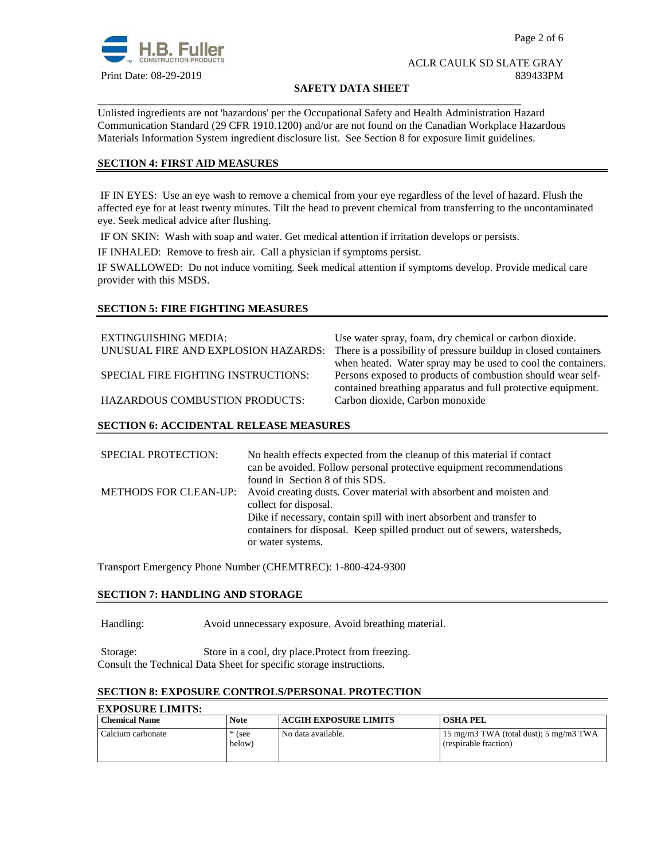

#### **SAFETY DATA SHEET**

Unlisted ingredients are not 'hazardous' per the Occupational Safety and Health Administration Hazard Communication Standard (29 CFR 1910.1200) and/or are not found on the Canadian Workplace Hazardous Materials Information System ingredient disclosure list. See Section 8 for exposure limit guidelines.

\_\_\_\_\_\_\_\_\_\_\_\_\_\_\_\_\_\_\_\_\_\_\_\_\_\_\_\_\_\_\_\_\_\_\_\_\_\_\_\_\_\_\_\_\_\_\_\_\_\_\_\_\_\_\_\_\_\_\_\_\_\_\_\_\_\_\_\_\_\_\_\_\_\_\_\_\_\_

## **SECTION 4: FIRST AID MEASURES**

 IF IN EYES: Use an eye wash to remove a chemical from your eye regardless of the level of hazard. Flush the affected eye for at least twenty minutes. Tilt the head to prevent chemical from transferring to the uncontaminated eye. Seek medical advice after flushing.

IF ON SKIN: Wash with soap and water. Get medical attention if irritation develops or persists.

IF INHALED: Remove to fresh air. Call a physician if symptoms persist.

IF SWALLOWED:Do not induce vomiting. Seek medical attention if symptoms develop. Provide medical care provider with this MSDS.

## **SECTION 5: FIRE FIGHTING MEASURES**

EXTINGUISHING MEDIA: Use water spray, foam, dry chemical or carbon dioxide. UNUSUAL FIRE AND EXPLOSION HAZARDS: There is a possibility of pressure buildup in closed containers when heated. Water spray may be used to cool the containers. SPECIAL FIRE FIGHTING INSTRUCTIONS: Persons exposed to products of combustion should wear selfcontained breathing apparatus and full protective equipment. HAZARDOUS COMBUSTION PRODUCTS: Carbon dioxide, Carbon monoxide

## **SECTION 6: ACCIDENTAL RELEASE MEASURES**

| <b>SPECIAL PROTECTION:</b>   | No health effects expected from the cleanup of this material if contact  |
|------------------------------|--------------------------------------------------------------------------|
|                              | can be avoided. Follow personal protective equipment recommendations     |
|                              | found in Section 8 of this SDS.                                          |
| <b>METHODS FOR CLEAN-UP:</b> | Avoid creating dusts. Cover material with absorbent and moisten and      |
|                              | collect for disposal.                                                    |
|                              | Dike if necessary, contain spill with inert absorbent and transfer to    |
|                              | containers for disposal. Keep spilled product out of sewers, watersheds, |
|                              | or water systems.                                                        |

Transport Emergency Phone Number (CHEMTREC): 1-800-424-9300

## **SECTION 7: HANDLING AND STORAGE**

Handling: Avoid unnecessary exposure. Avoid breathing material.

Storage: Store in a cool, dry place.Protect from freezing. Consult the Technical Data Sheet for specific storage instructions.

# **SECTION 8: EXPOSURE CONTROLS/PERSONAL PROTECTION**

| <b>EXPOSURE LIMITS:</b> |                    |                              |                                                                            |
|-------------------------|--------------------|------------------------------|----------------------------------------------------------------------------|
| <b>Chemical Name</b>    | Note               | <b>ACGIH EXPOSURE LIMITS</b> | <b>OSHA PEL</b>                                                            |
| Calcium carbonate       | $*$ (see<br>below) | No data available.           | $15 \text{ mg/m}$ 3 TWA (total dust); 5 mg/m3 TWA<br>(respirable fraction) |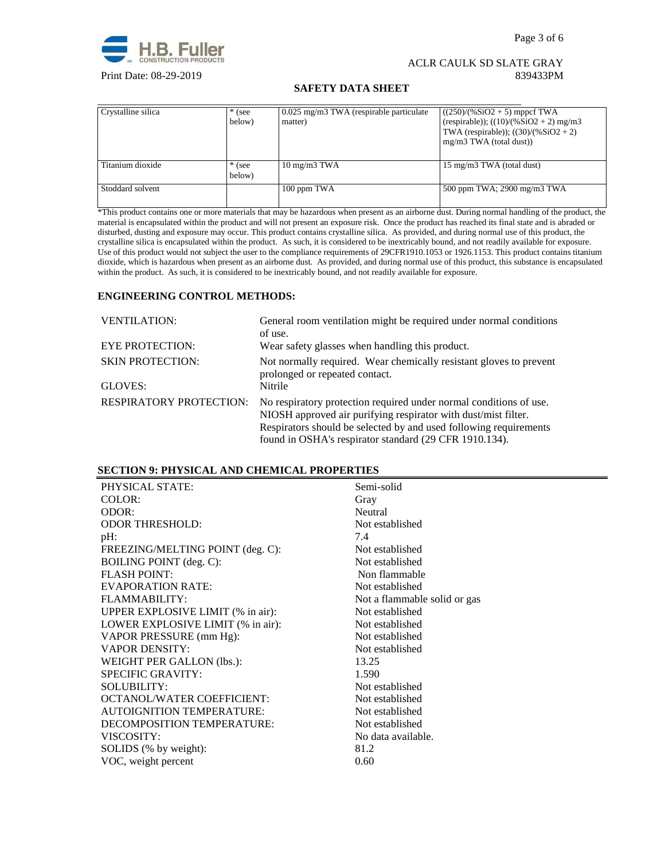

## **SAFETY DATA SHEET**

| Crystalline silica | $*$ (see<br>below) | 0.025 mg/m3 TWA (respirable particulate)<br>matter) | $((250)/(%SiO2 + 5)$ mppcf TWA<br>(respirable)); $((10)/(%SiO2 + 2)$ mg/m3<br>TWA (respirable)); $((30)/(%SiO2 + 2))$<br>$mg/m3$ TWA (total dust)) |
|--------------------|--------------------|-----------------------------------------------------|----------------------------------------------------------------------------------------------------------------------------------------------------|
| Titanium dioxide   | $*$ (see<br>below) | $10 \text{ mg/m}$ $3 \text{ TWA}$                   | 15 mg/m3 TWA (total dust)                                                                                                                          |
| Stoddard solvent   |                    | 100 ppm TWA                                         | 500 ppm TWA; 2900 mg/m3 TWA                                                                                                                        |

\*This product contains one or more materials that may be hazardous when present as an airborne dust. During normal handling of the product, the material is encapsulated within the product and will not present an exposure risk. Once the product has reached its final state and is abraded or disturbed, dusting and exposure may occur. This product contains crystalline silica. As provided, and during normal use of this product, the crystalline silica is encapsulated within the product. As such, it is considered to be inextricably bound, and not readily available for exposure. Use of this product would not subject the user to the compliance requirements of 29CFR1910.1053 or 1926.1153. This product contains titanium dioxide, which is hazardous when present as an airborne dust. As provided, and during normal use of this product, this substance is encapsulated within the product. As such, it is considered to be inextricably bound, and not readily available for exposure.

# **ENGINEERING CONTROL METHODS:**

| <b>VENTILATION:</b>                | General room ventilation might be required under normal conditions<br>of use.                                                                                                                                                                                       |
|------------------------------------|---------------------------------------------------------------------------------------------------------------------------------------------------------------------------------------------------------------------------------------------------------------------|
| <b>EYE PROTECTION:</b>             | Wear safety glasses when handling this product.                                                                                                                                                                                                                     |
| <b>SKIN PROTECTION:</b><br>GLOVES: | Not normally required. Wear chemically resistant gloves to prevent<br>prolonged or repeated contact.<br>Nitrile                                                                                                                                                     |
|                                    |                                                                                                                                                                                                                                                                     |
| <b>RESPIRATORY PROTECTION:</b>     | No respiratory protection required under normal conditions of use.<br>NIOSH approved air purifying respirator with dust/mist filter.<br>Respirators should be selected by and used following requirements<br>found in OSHA's respirator standard (29 CFR 1910.134). |

# **SECTION 9: PHYSICAL AND CHEMICAL PROPERTIES**

| PHYSICAL STATE:                   | Semi-solid                   |
|-----------------------------------|------------------------------|
| COLOR:                            | Gray                         |
| ODOR:                             | Neutral                      |
| <b>ODOR THRESHOLD:</b>            | Not established              |
| $pH$ :                            | 7.4                          |
| FREEZING/MELTING POINT (deg. C):  | Not established              |
| <b>BOILING POINT</b> (deg. C):    | Not established              |
| <b>FLASH POINT:</b>               | Non flammable                |
| <b>EVAPORATION RATE:</b>          | Not established              |
| FLAMMABILITY:                     | Not a flammable solid or gas |
| UPPER EXPLOSIVE LIMIT (% in air): | Not established              |
| LOWER EXPLOSIVE LIMIT (% in air): | Not established              |
| VAPOR PRESSURE (mm Hg):           | Not established              |
| <b>VAPOR DENSITY:</b>             | Not established              |
| WEIGHT PER GALLON (lbs.):         | 13.25                        |
| <b>SPECIFIC GRAVITY:</b>          | 1.590                        |
| <b>SOLUBILITY:</b>                | Not established              |
| OCTANOL/WATER COEFFICIENT:        | Not established              |
| <b>AUTOIGNITION TEMPERATURE:</b>  | Not established              |
| DECOMPOSITION TEMPERATURE:        | Not established              |
| VISCOSITY:                        | No data available.           |
| SOLIDS (% by weight):             | 81.2                         |
| VOC, weight percent               | 0.60                         |
|                                   |                              |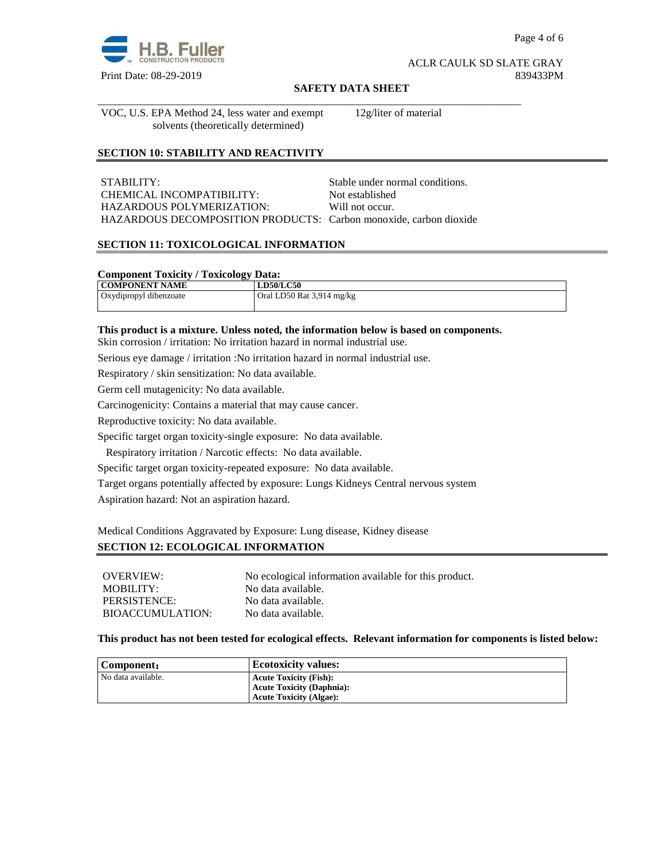

Page 4 of 6

### ACLR CAULK SD SLATE GRAY Print Date: 08-29-2019 839433PM

#### **SAFETY DATA SHEET**

\_\_\_\_\_\_\_\_\_\_\_\_\_\_\_\_\_\_\_\_\_\_\_\_\_\_\_\_\_\_\_\_\_\_\_\_\_\_\_\_\_\_\_\_\_\_\_\_\_\_\_\_\_\_\_\_\_\_\_\_\_\_\_\_\_\_\_\_\_\_\_\_\_\_\_\_\_\_

VOC, U.S. EPA Method 24, less water and exempt solvents (theoretically determined)

12g/liter of material

# **SECTION 10: STABILITY AND REACTIVITY**

STABILITY: STABILITY: CHEMICAL INCOMPATIBILITY: Not established HAZARDOUS POLYMERIZATION: Will not occur. HAZARDOUS DECOMPOSITION PRODUCTS: Carbon monoxide, carbon dioxide

## **SECTION 11: TOXICOLOGICAL INFORMATION**

#### **Component Toxicity / Toxicology Data:**

| COMPONENT NAME         | LD50/LC50                 |
|------------------------|---------------------------|
| Oxydipropyl dibenzoate | Oral LD50 Rat 3,914 mg/kg |
|                        |                           |

### **This product is a mixture. Unless noted, the information below is based on components.**

Skin corrosion / irritation: No irritation hazard in normal industrial use.

Serious eye damage / irritation :No irritation hazard in normal industrial use.

Respiratory / skin sensitization: No data available.

Germ cell mutagenicity: No data available.

Carcinogenicity: Contains a material that may cause cancer.

Reproductive toxicity: No data available.

Specific target organ toxicity-single exposure:No data available.

Respiratory irritation / Narcotic effects: No data available.

Specific target organ toxicity-repeated exposure:No data available.

Target organs potentially affected by exposure: Lungs Kidneys Central nervous system

Aspiration hazard: Not an aspiration hazard.

Medical Conditions Aggravated by Exposure: Lung disease, Kidney disease

## **SECTION 12: ECOLOGICAL INFORMATION**

| OVERVIEW:        | No ecological information available for this product. |
|------------------|-------------------------------------------------------|
| MOBILITY:        | No data available.                                    |
| PERSISTENCE:     | No data available.                                    |
| BIOACCUMULATION: | No data available.                                    |

### **This product has not been tested for ecological effects. Relevant information for components is listed below:**

| Component:         | <b>Ecotoxicity values:</b>                                                                          |
|--------------------|-----------------------------------------------------------------------------------------------------|
| No data available. | <b>Acute Toxicity (Fish):</b><br><b>Acute Toxicity (Daphnia):</b><br><b>Acute Toxicity (Algae):</b> |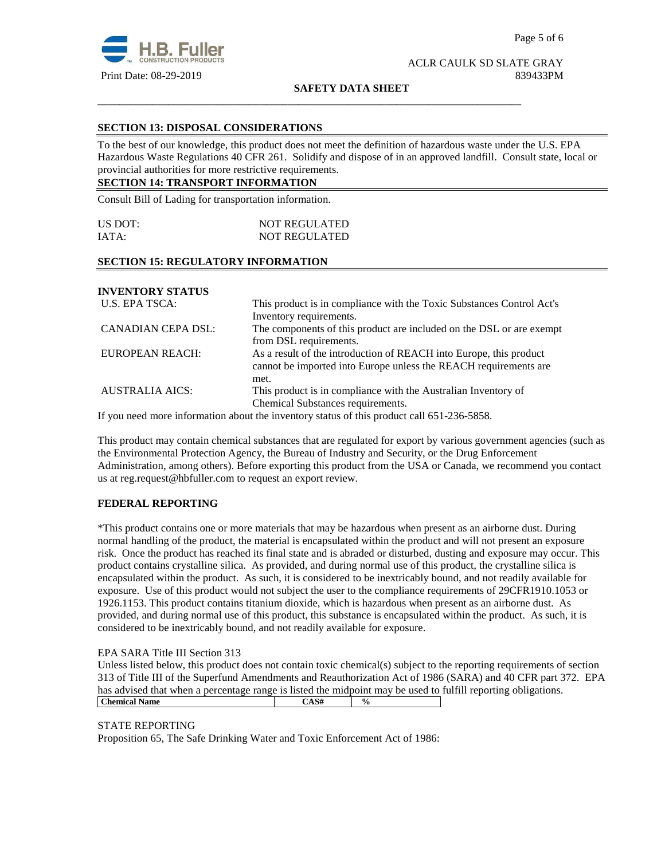

**SAFETY DATA SHEET**

\_\_\_\_\_\_\_\_\_\_\_\_\_\_\_\_\_\_\_\_\_\_\_\_\_\_\_\_\_\_\_\_\_\_\_\_\_\_\_\_\_\_\_\_\_\_\_\_\_\_\_\_\_\_\_\_\_\_\_\_\_\_\_\_\_\_\_\_\_\_\_\_\_\_\_\_\_\_

## **SECTION 13: DISPOSAL CONSIDERATIONS**

To the best of our knowledge, this product does not meet the definition of hazardous waste under the U.S. EPA Hazardous Waste Regulations 40 CFR 261. Solidify and dispose of in an approved landfill. Consult state, local or provincial authorities for more restrictive requirements.

# **SECTION 14: TRANSPORT INFORMATION**

Consult Bill of Lading for transportation information.

| US DOT: | <b>NOT REGULATED</b> |
|---------|----------------------|
| IATA:   | <b>NOT REGULATED</b> |

### **SECTION 15: REGULATORY INFORMATION**

**INVENTORY STATUS**  U.S. EPA TSCA: This product is in compliance with the Toxic Substances Control Act's

|                           | Inventory requirements.                                              |
|---------------------------|----------------------------------------------------------------------|
| <b>CANADIAN CEPA DSL:</b> | The components of this product are included on the DSL or are exempt |
|                           | from DSL requirements.                                               |
| EUROPEAN REACH:           | As a result of the introduction of REACH into Europe, this product   |
|                           | cannot be imported into Europe unless the REACH requirements are     |
|                           | met.                                                                 |
| <b>AUSTRALIA AICS:</b>    | This product is in compliance with the Australian Inventory of       |
|                           | Chemical Substances requirements.                                    |

If you need more information about the inventory status of this product call 651-236-5858.

This product may contain chemical substances that are regulated for export by various government agencies (such as the Environmental Protection Agency, the Bureau of Industry and Security, or the Drug Enforcement Administration, among others). Before exporting this product from the USA or Canada, we recommend you contact us at reg.request@hbfuller.com to request an export review.

## **FEDERAL REPORTING**

\*This product contains one or more materials that may be hazardous when present as an airborne dust. During normal handling of the product, the material is encapsulated within the product and will not present an exposure risk. Once the product has reached its final state and is abraded or disturbed, dusting and exposure may occur. This product contains crystalline silica. As provided, and during normal use of this product, the crystalline silica is encapsulated within the product. As such, it is considered to be inextricably bound, and not readily available for exposure. Use of this product would not subject the user to the compliance requirements of 29CFR1910.1053 or 1926.1153. This product contains titanium dioxide, which is hazardous when present as an airborne dust. As provided, and during normal use of this product, this substance is encapsulated within the product. As such, it is considered to be inextricably bound, and not readily available for exposure.

#### EPA SARA Title III Section 313

Unless listed below, this product does not contain toxic chemical(s) subject to the reporting requirements of section 313 of Title III of the Superfund Amendments and Reauthorization Act of 1986 (SARA) and 40 CFR part 372. EPA has advised that when a percentage range is listed the midpoint may be used to fulfill reporting obligations. **Chemical Name** CAS#  $\frac{6}{96}$ 

#### STATE REPORTING

Proposition 65, The Safe Drinking Water and Toxic Enforcement Act of 1986: